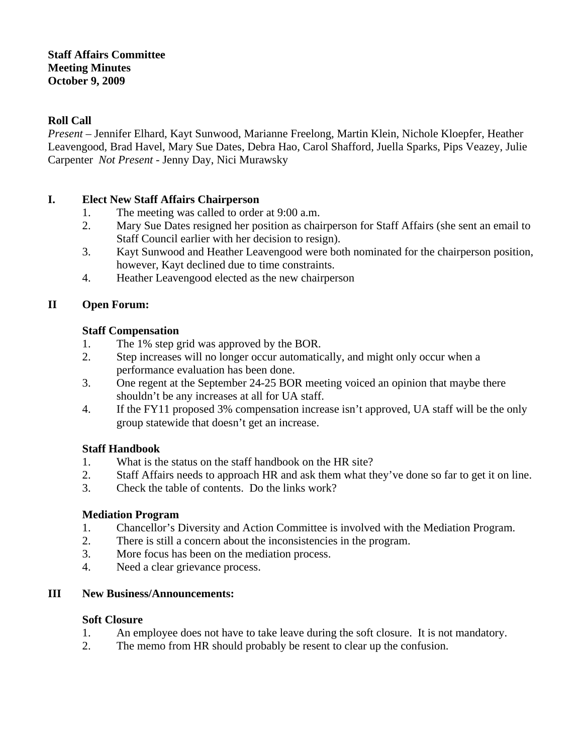#### **Staff Affairs Committee Meeting Minutes October 9, 2009**

#### **Roll Call**

*Present* – Jennifer Elhard, Kayt Sunwood, Marianne Freelong, Martin Klein, Nichole Kloepfer, Heather Leavengood, Brad Havel, Mary Sue Dates, Debra Hao, Carol Shafford, Juella Sparks, Pips Veazey, Julie Carpenter *Not Present* - Jenny Day, Nici Murawsky

### **I. Elect New Staff Affairs Chairperson**

- 1. The meeting was called to order at 9:00 a.m.
- 2. Mary Sue Dates resigned her position as chairperson for Staff Affairs (she sent an email to Staff Council earlier with her decision to resign).
- 3. Kayt Sunwood and Heather Leavengood were both nominated for the chairperson position, however, Kayt declined due to time constraints.
- 4. Heather Leavengood elected as the new chairperson

# **II Open Forum:**

### **Staff Compensation**

- 1. The 1% step grid was approved by the BOR.<br>2. Step increases will no longer occur automatic
- Step increases will no longer occur automatically, and might only occur when a performance evaluation has been done.
- 3. One regent at the September 24-25 BOR meeting voiced an opinion that maybe there shouldn't be any increases at all for UA staff.
- 4. If the FY11 proposed 3% compensation increase isn't approved, UA staff will be the only group statewide that doesn't get an increase.

# **Staff Handbook**

- 1. What is the status on the staff handbook on the HR site?
- 2. Staff Affairs needs to approach HR and ask them what they've done so far to get it on line.
- 3. Check the table of contents. Do the links work?

# **Mediation Program**

- 1. Chancellor's Diversity and Action Committee is involved with the Mediation Program.
- 2. There is still a concern about the inconsistencies in the program.
- 3. More focus has been on the mediation process.
- 4. Need a clear grievance process.

# **III New Business/Announcements:**

#### **Soft Closure**

- 1. An employee does not have to take leave during the soft closure. It is not mandatory.
- 2. The memo from HR should probably be resent to clear up the confusion.